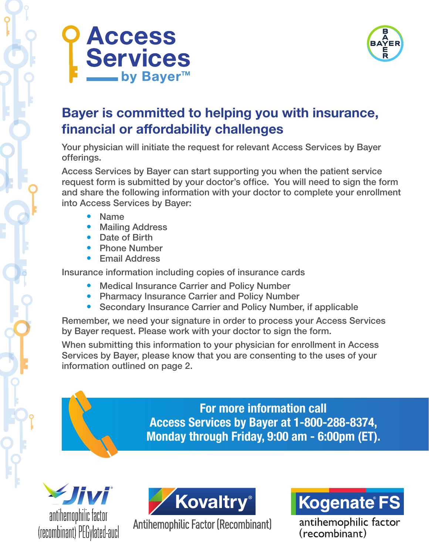



## Bayer is committed to helping you with insurance, financial or affordability challenges

Your physician will initiate the request for relevant Access Services by Bayer offerings.

Access Services by Bayer can start supporting you when the patient service request form is submitted by your doctor's office. You will need to sign the form and share the following information with your doctor to complete your enrollment into Access Services by Bayer:

- **Name**
- **Mailing Address**
- Date of Birth
- **Phone Number**
- **Email Address**

Insurance information including copies of insurance cards

- Medical Insurance Carrier and Policy Number
- Pharmacy Insurance Carrier and Policy Number
- Secondary Insurance Carrier and Policy Number, if applicable

Remember, we need your signature in order to process your Access Services by Bayer request. Please work with your doctor to sign the form.

When submitting this information to your physician for enrollment in Access Services by Bayer, please know that you are consenting to the uses of your information outlined on page 2.

> For more information call Access Services by Bayer at 1-800-288-8374, Monday through Friday, 9:00 am - 6:00pm (ET).





**Antihemophilic Factor (Recombinant)** 



antihemophilic factor  $(recombinant)$